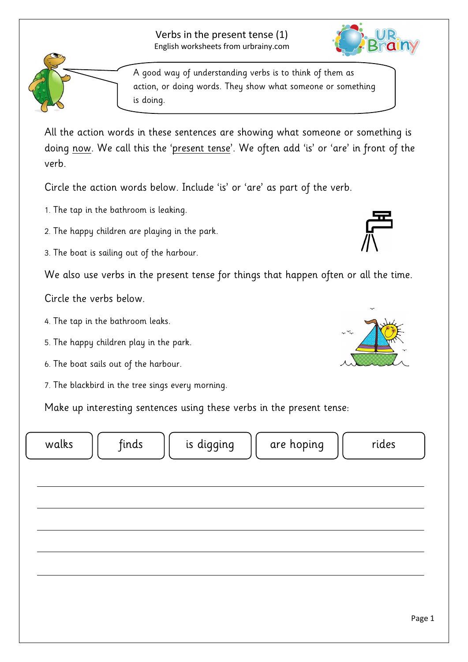Page 1

A good way of understanding verbs is to think of them as action, or doing words. They show what someone or something is doing.

All the action words in these sentences are showing what someone or something is doing <u>now</u>. We call this the '<u>present tense</u>'. We often add 'is' or 'are' in front of the verb.

Circle the action words below. Include 'is' or 'are' as part of the verb.

- 1. The tap in the bathroom is leaking.
- 2. The happy children are playing in the park.
- 3. The boat is sailing out of the harbour.

We also use verbs in the present tense for things that happen often or all the time.

Circle the verbs below.

- 4. The tap in the bathroom leaks.
- 5. The happy children play in the park.
- 6. The boat sails out of the harbour.
- 7. The blackbird in the tree sings every morning.

Make up interesting sentences using these verbs in the present tense:

walks  $\begin{vmatrix} \cdot & \cdot & \cdot \\ \cdot & \cdot & \cdot \\ \cdot & \cdot & \cdot \end{vmatrix}$  is digging  $\begin{vmatrix} \cdot & \cdot & \cdot \\ \cdot & \cdot & \cdot \\ \cdot & \cdot & \cdot \end{vmatrix}$  rides